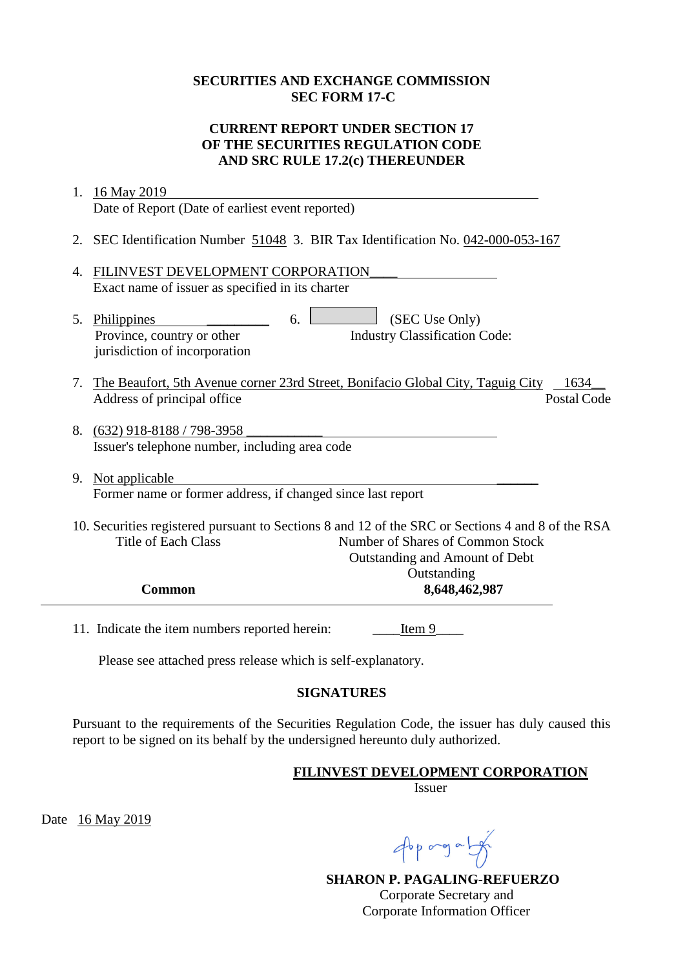## **SECURITIES AND EXCHANGE COMMISSION SEC FORM 17-C**

## **CURRENT REPORT UNDER SECTION 17 OF THE SECURITIES REGULATION CODE AND SRC RULE 17.2(c) THEREUNDER**

| 1. | 16 May 2019                                                                                                                                                                                                          |
|----|----------------------------------------------------------------------------------------------------------------------------------------------------------------------------------------------------------------------|
|    | Date of Report (Date of earliest event reported)                                                                                                                                                                     |
|    | 2. SEC Identification Number 51048 3. BIR Tax Identification No. 042-000-053-167                                                                                                                                     |
| 4. | FILINVEST DEVELOPMENT CORPORATION<br>Exact name of issuer as specified in its charter                                                                                                                                |
|    | (SEC Use Only)<br>5. Philippines<br>6.<br><b>Industry Classification Code:</b><br>Province, country or other<br>jurisdiction of incorporation                                                                        |
|    | 7. The Beaufort, 5th Avenue corner 23rd Street, Bonifacio Global City, Taguig City<br>1634<br><b>Postal Code</b><br>Address of principal office                                                                      |
|    | 8. (632) 918-8188 / 798-3958<br>Issuer's telephone number, including area code                                                                                                                                       |
|    | 9. Not applicable<br>Former name or former address, if changed since last report                                                                                                                                     |
|    | 10. Securities registered pursuant to Sections 8 and 12 of the SRC or Sections 4 and 8 of the RSA<br><b>Title of Each Class</b><br>Number of Shares of Common Stock<br>Outstanding and Amount of Debt<br>Outstanding |
|    | <b>Common</b><br>8,648,462,987                                                                                                                                                                                       |
|    | 11. Indicate the item numbers reported herein:<br>Item 9                                                                                                                                                             |
|    | Please see attached press release which is self-explanatory.                                                                                                                                                         |

**SIGNATURES**

Pursuant to the requirements of the Securities Regulation Code, the issuer has duly caused this report to be signed on its behalf by the undersigned hereunto duly authorized.

**FILINVEST DEVELOPMENT CORPORATION**

Issuer

Date 16 May 2019

Approgram

**SHARON P. PAGALING-REFUERZO** Corporate Secretary and Corporate Information Officer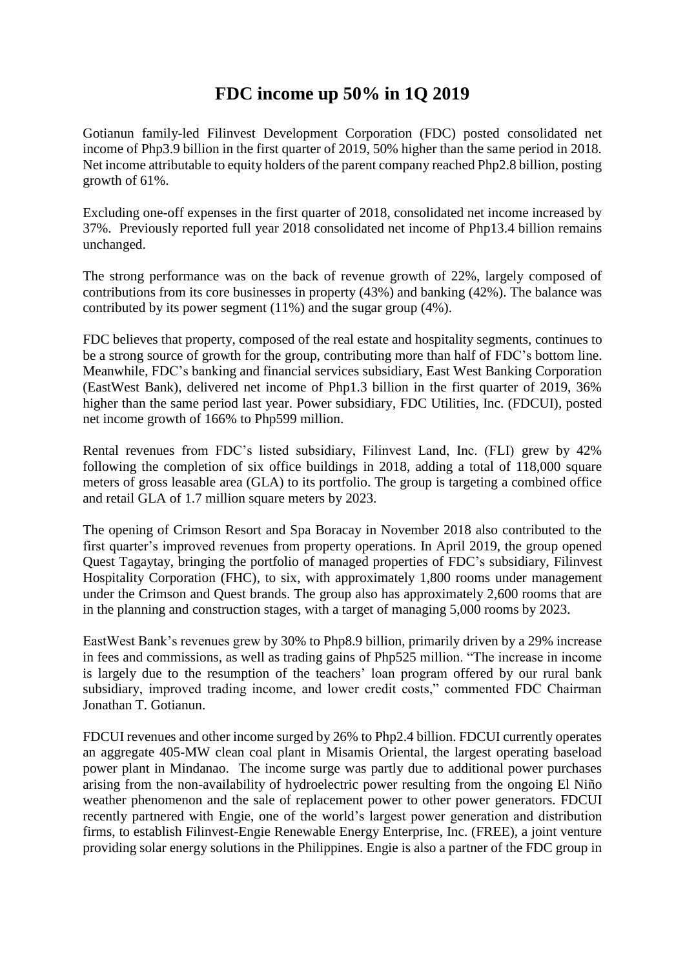## **FDC income up 50% in 1Q 2019**

Gotianun family-led Filinvest Development Corporation (FDC) posted consolidated net income of Php3.9 billion in the first quarter of 2019, 50% higher than the same period in 2018*.*  Net income attributable to equity holders of the parent company reached Php2.8 billion, posting growth of 61%.

Excluding one-off expenses in the first quarter of 2018, consolidated net income increased by 37%. Previously reported full year 2018 consolidated net income of Php13.4 billion remains unchanged.

The strong performance was on the back of revenue growth of 22%, largely composed of contributions from its core businesses in property (43%) and banking (42%). The balance was contributed by its power segment (11%) and the sugar group (4%).

FDC believes that property, composed of the real estate and hospitality segments, continues to be a strong source of growth for the group, contributing more than half of FDC's bottom line. Meanwhile, FDC's banking and financial services subsidiary, East West Banking Corporation (EastWest Bank), delivered net income of Php1.3 billion in the first quarter of 2019, 36% higher than the same period last year. Power subsidiary, FDC Utilities, Inc. (FDCUI), posted net income growth of 166% to Php599 million.

Rental revenues from FDC's listed subsidiary, Filinvest Land, Inc. (FLI) grew by 42% following the completion of six office buildings in 2018, adding a total of 118,000 square meters of gross leasable area (GLA) to its portfolio. The group is targeting a combined office and retail GLA of 1.7 million square meters by 2023.

The opening of Crimson Resort and Spa Boracay in November 2018 also contributed to the first quarter's improved revenues from property operations. In April 2019, the group opened Quest Tagaytay, bringing the portfolio of managed properties of FDC's subsidiary, Filinvest Hospitality Corporation (FHC), to six, with approximately 1,800 rooms under management under the Crimson and Quest brands. The group also has approximately 2,600 rooms that are in the planning and construction stages, with a target of managing 5,000 rooms by 2023.

EastWest Bank's revenues grew by 30% to Php8.9 billion, primarily driven by a 29% increase in fees and commissions, as well as trading gains of Php525 million. "The increase in income is largely due to the resumption of the teachers' loan program offered by our rural bank subsidiary, improved trading income, and lower credit costs," commented FDC Chairman Jonathan T. Gotianun.

FDCUI revenues and other income surged by 26% to Php2.4 billion. FDCUI currently operates an aggregate 405-MW clean coal plant in Misamis Oriental, the largest operating baseload power plant in Mindanao. The income surge was partly due to additional power purchases arising from the non-availability of hydroelectric power resulting from the ongoing El Niño weather phenomenon and the sale of replacement power to other power generators. FDCUI recently partnered with Engie, one of the world's largest power generation and distribution firms, to establish Filinvest-Engie Renewable Energy Enterprise, Inc. (FREE), a joint venture providing solar energy solutions in the Philippines. Engie is also a partner of the FDC group in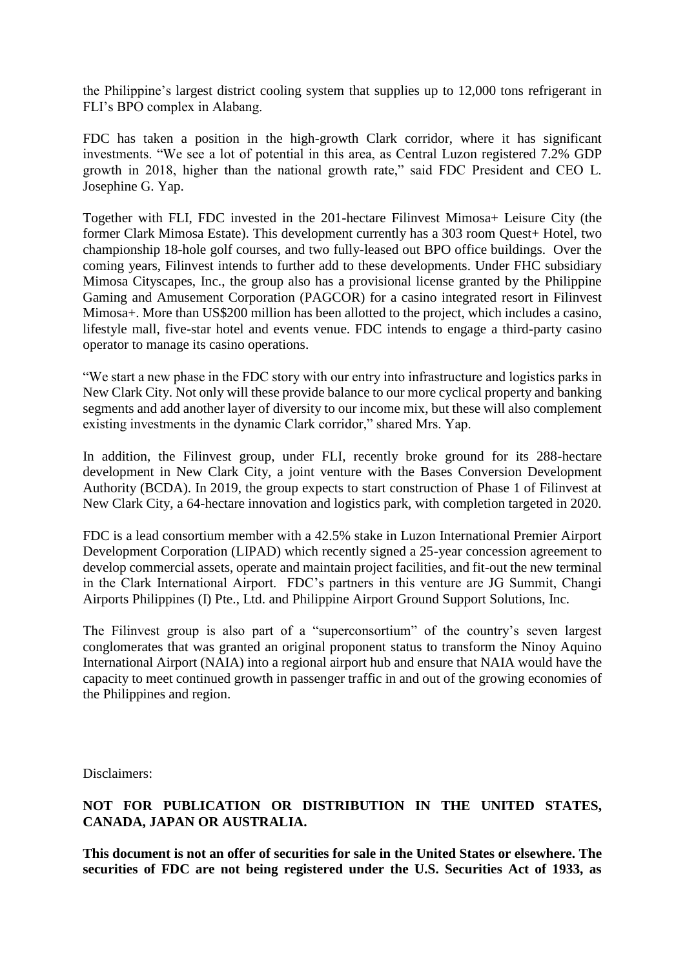the Philippine's largest district cooling system that supplies up to 12,000 tons refrigerant in FLI's BPO complex in Alabang.

FDC has taken a position in the high-growth Clark corridor, where it has significant investments. "We see a lot of potential in this area, as Central Luzon registered 7.2% GDP growth in 2018, higher than the national growth rate," said FDC President and CEO L. Josephine G. Yap.

Together with FLI, FDC invested in the 201-hectare Filinvest Mimosa+ Leisure City (the former Clark Mimosa Estate). This development currently has a 303 room Quest+ Hotel, two championship 18-hole golf courses, and two fully-leased out BPO office buildings. Over the coming years, Filinvest intends to further add to these developments. Under FHC subsidiary Mimosa Cityscapes, Inc., the group also has a provisional license granted by the Philippine Gaming and Amusement Corporation (PAGCOR) for a casino integrated resort in Filinvest Mimosa+. More than US\$200 million has been allotted to the project, which includes a casino, lifestyle mall, five-star hotel and events venue. FDC intends to engage a third-party casino operator to manage its casino operations.

"We start a new phase in the FDC story with our entry into infrastructure and logistics parks in New Clark City. Not only will these provide balance to our more cyclical property and banking segments and add another layer of diversity to our income mix, but these will also complement existing investments in the dynamic Clark corridor," shared Mrs. Yap.

In addition, the Filinvest group, under FLI, recently broke ground for its 288-hectare development in New Clark City, a joint venture with the Bases Conversion Development Authority (BCDA). In 2019, the group expects to start construction of Phase 1 of Filinvest at New Clark City, a 64-hectare innovation and logistics park, with completion targeted in 2020.

FDC is a lead consortium member with a 42.5% stake in Luzon International Premier Airport Development Corporation (LIPAD) which recently signed a 25-year concession agreement to develop commercial assets, operate and maintain project facilities, and fit-out the new terminal in the Clark International Airport. FDC's partners in this venture are JG Summit, Changi Airports Philippines (I) Pte., Ltd. and Philippine Airport Ground Support Solutions, Inc.

The Filinvest group is also part of a "superconsortium" of the country's seven largest conglomerates that was granted an original proponent status to transform the Ninoy Aquino International Airport (NAIA) into a regional airport hub and ensure that NAIA would have the capacity to meet continued growth in passenger traffic in and out of the growing economies of the Philippines and region.

Disclaimers:

## **NOT FOR PUBLICATION OR DISTRIBUTION IN THE UNITED STATES, CANADA, JAPAN OR AUSTRALIA.**

**This document is not an offer of securities for sale in the United States or elsewhere. The securities of FDC are not being registered under the U.S. Securities Act of 1933, as**